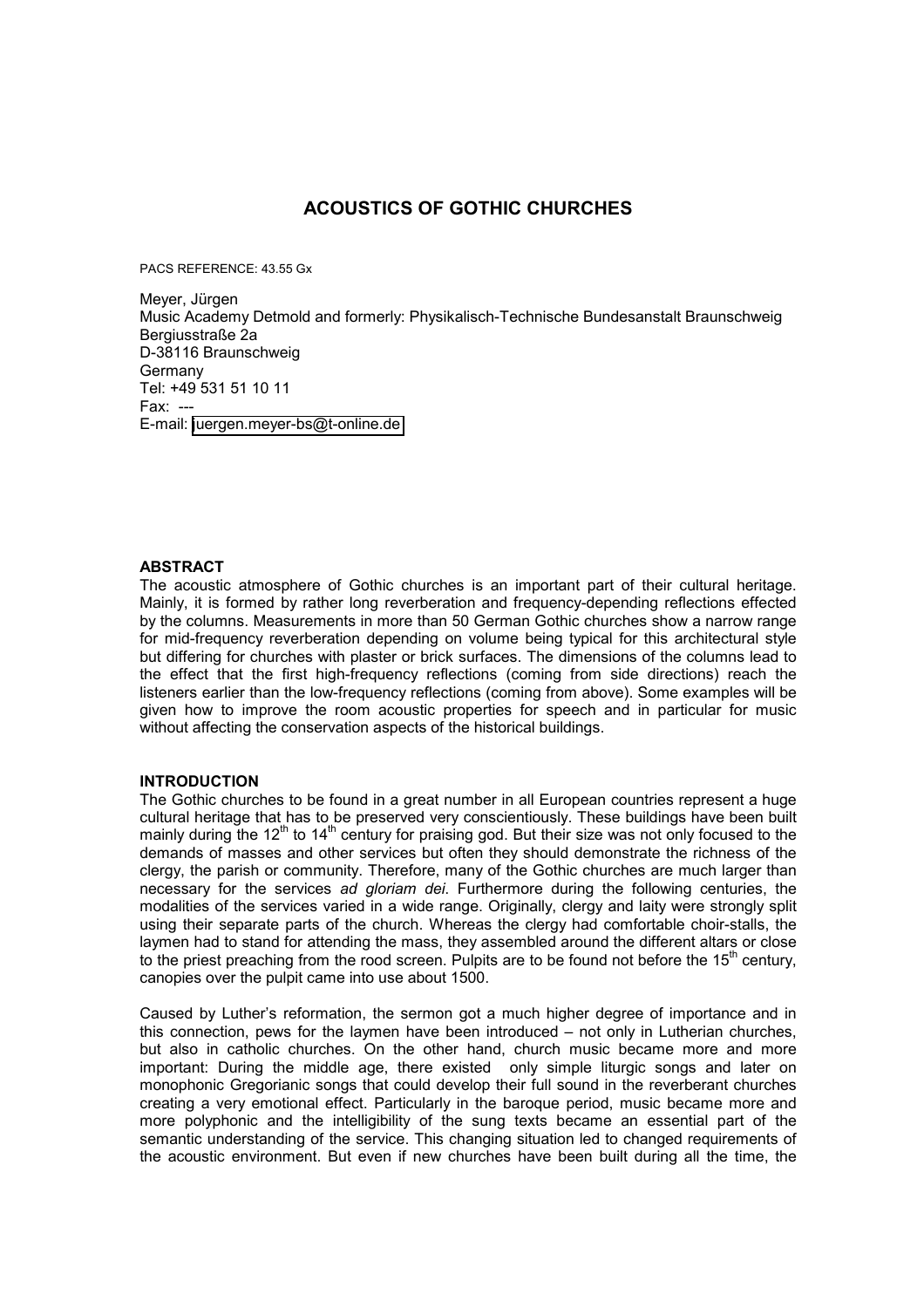# **ACOUSTICS OF GOTHIC CHURCHES**

PACS REFERENCE: 43.55 Gx

Meyer, Jürgen Music Academy Detmold and formerly: Physikalisch-Technische Bundesanstalt Braunschweig Bergiusstraße 2a D-38116 Braunschweig Germany Tel: +49 531 51 10 11 Fax: --- E-mail: [juergen.meyer-bs@t-online.de](mailto:juergen.meyer-bs@t-online.de) 

# **ABSTRACT**

The acoustic atmosphere of Gothic churches is an important part of their cultural heritage. Mainly, it is formed by rather long reverberation and frequency-depending reflections effected by the columns. Measurements in more than 50 German Gothic churches show a narrow range for mid-frequency reverberation depending on volume being typical for this architectural style but differing for churches with plaster or brick surfaces. The dimensions of the columns lead to the effect that the first high-frequency reflections (coming from side directions) reach the listeners earlier than the low-frequency reflections (coming from above). Some examples will be given how to improve the room acoustic properties for speech and in particular for music without affecting the conservation aspects of the historical buildings.

# **INTRODUCTION**

The Gothic churches to be found in a great number in all European countries represent a huge cultural heritage that has to be preserved very conscientiously. These buildings have been built mainly during the 12<sup>th</sup> to 14<sup>th</sup> century for praising god. But their size was not only focused to the demands of masses and other services but often they should demonstrate the richness of the clergy, the parish or community. Therefore, many of the Gothic churches are much larger than necessary for the services *ad gloriam dei*. Furthermore during the following centuries, the modalities of the services varied in a wide range. Originally, clergy and laity were strongly split using their separate parts of the church. Whereas the clergy had comfortable choir-stalls, the laymen had to stand for attending the mass, they assembled around the different altars or close to the priest preaching from the rood screen. Pulpits are to be found not before the  $15<sup>th</sup>$  century, canopies over the pulpit came into use about 1500.

Caused by Luther's reformation, the sermon got a much higher degree of importance and in this connection, pews for the laymen have been introduced – not only in Lutherian churches, but also in catholic churches. On the other hand, church music became more and more important: During the middle age, there existed only simple liturgic songs and later on monophonic Gregorianic songs that could develop their full sound in the reverberant churches creating a very emotional effect. Particularly in the baroque period, music became more and more polyphonic and the intelligibility of the sung texts became an essential part of the semantic understanding of the service. This changing situation led to changed requirements of the acoustic environment. But even if new churches have been built during all the time, the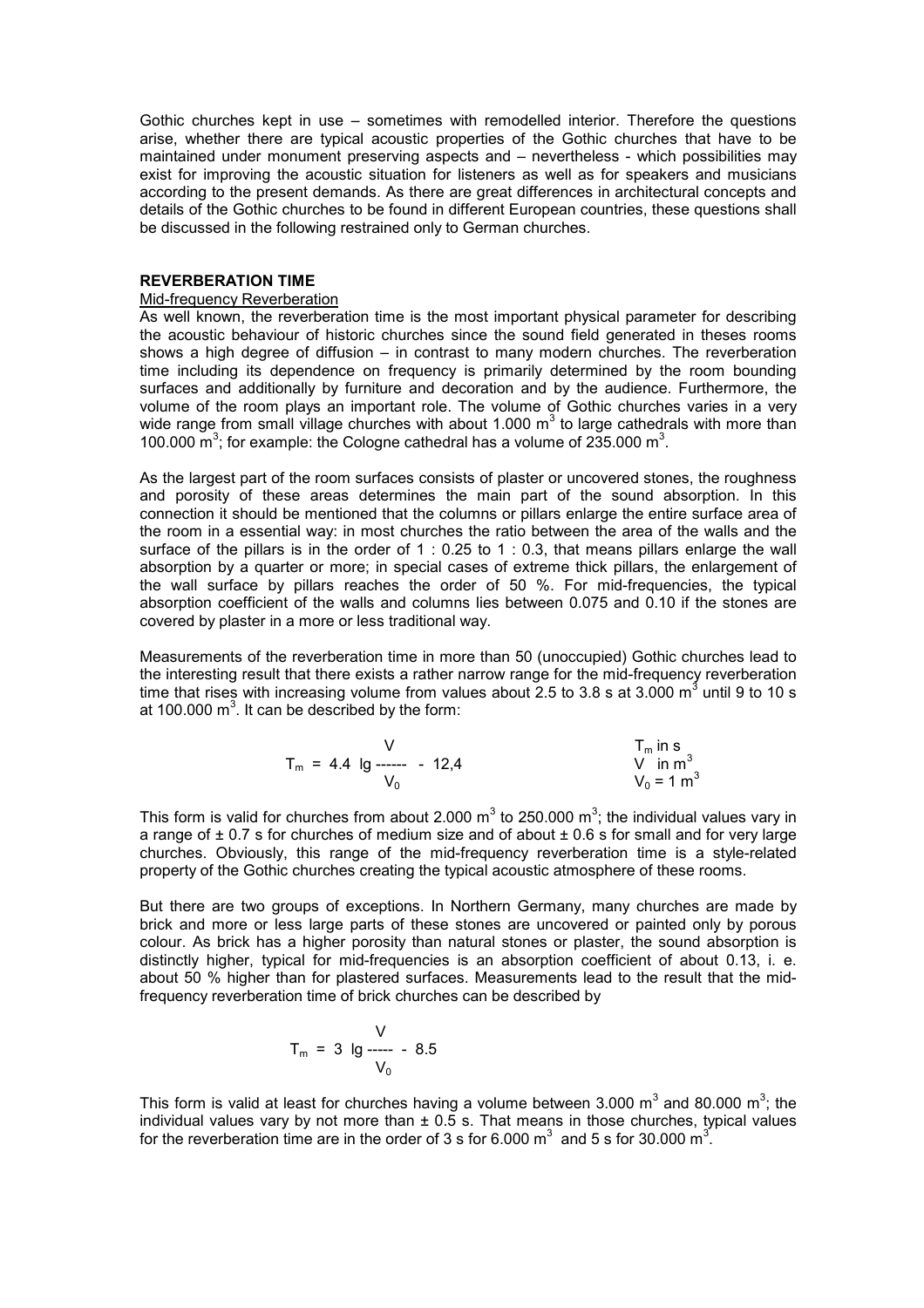Gothic churches kept in use – sometimes with remodelled interior. Therefore the questions arise, whether there are typical acoustic properties of the Gothic churches that have to be maintained under monument preserving aspects and – nevertheless - which possibilities may exist for improving the acoustic situation for listeners as well as for speakers and musicians according to the present demands. As there are great differences in architectural concepts and details of the Gothic churches to be found in different European countries, these questions shall be discussed in the following restrained only to German churches.

# **REVERBERATION TIME**

#### Mid-frequency Reverberation

As well known, the reverberation time is the most important physical parameter for describing the acoustic behaviour of historic churches since the sound field generated in theses rooms shows a high degree of diffusion – in contrast to many modern churches. The reverberation time including its dependence on frequency is primarily determined by the room bounding surfaces and additionally by furniture and decoration and by the audience. Furthermore, the volume of the room plays an important role. The volume of Gothic churches varies in a very wide range from small village churches with about 1.000 m<sup>3</sup> to large cathedrals with more than 100.000  $\mathrm{m}^3$ ; for example: the Cologne cathedral has a volume of 235.000  $\mathrm{m}^3$ .

As the largest part of the room surfaces consists of plaster or uncovered stones, the roughness and porosity of these areas determines the main part of the sound absorption. In this connection it should be mentioned that the columns or pillars enlarge the entire surface area of the room in a essential way: in most churches the ratio between the area of the walls and the surface of the pillars is in the order of 1 : 0.25 to 1 : 0.3, that means pillars enlarge the wall absorption by a quarter or more; in special cases of extreme thick pillars, the enlargement of the wall surface by pillars reaches the order of 50 %. For mid-frequencies, the typical absorption coefficient of the walls and columns lies between 0.075 and 0.10 if the stones are covered by plaster in a more or less traditional way.

Measurements of the reverberation time in more than 50 (unoccupied) Gothic churches lead to the interesting result that there exists a rather narrow range for the mid-frequency reverberation time that rises with increasing volume from values about 2.5 to 3.8 s at 3.000 m<sup>3</sup> until 9 to 10 s at 100.000  $m^3$ . It can be described by the form:

$$
T_m = 4.4 \text{ lg} \frac{V}{V_0} - 12.4 \qquad \begin{array}{c} T_m \text{ in s} \\ V \text{ in m}^3 \\ V_0 = 1 \text{ m}^3 \end{array}
$$

This form is valid for churches from about 2.000 m<sup>3</sup> to 250.000 m<sup>3</sup>; the individual values vary in a range of  $\pm$  0.7 s for churches of medium size and of about  $\pm$  0.6 s for small and for very large churches. Obviously, this range of the mid-frequency reverberation time is a style-related property of the Gothic churches creating the typical acoustic atmosphere of these rooms.

But there are two groups of exceptions. In Northern Germany, many churches are made by brick and more or less large parts of these stones are uncovered or painted only by porous colour. As brick has a higher porosity than natural stones or plaster, the sound absorption is distinctly higher, typical for mid-frequencies is an absorption coefficient of about 0.13, i. e. about 50 % higher than for plastered surfaces. Measurements lead to the result that the midfrequency reverberation time of brick churches can be described by

$$
T_m = 3 \lg \frac{V}{V_0}
$$

This form is valid at least for churches having a volume between 3.000 m<sup>3</sup> and 80.000 m<sup>3</sup>; the individual values vary by not more than  $\pm$  0.5 s. That means in those churches, typical values for the reverberation time are in the order of 3 s for 6.000 m<sup>3</sup> and 5 s for 30.000 m<sup>3</sup>.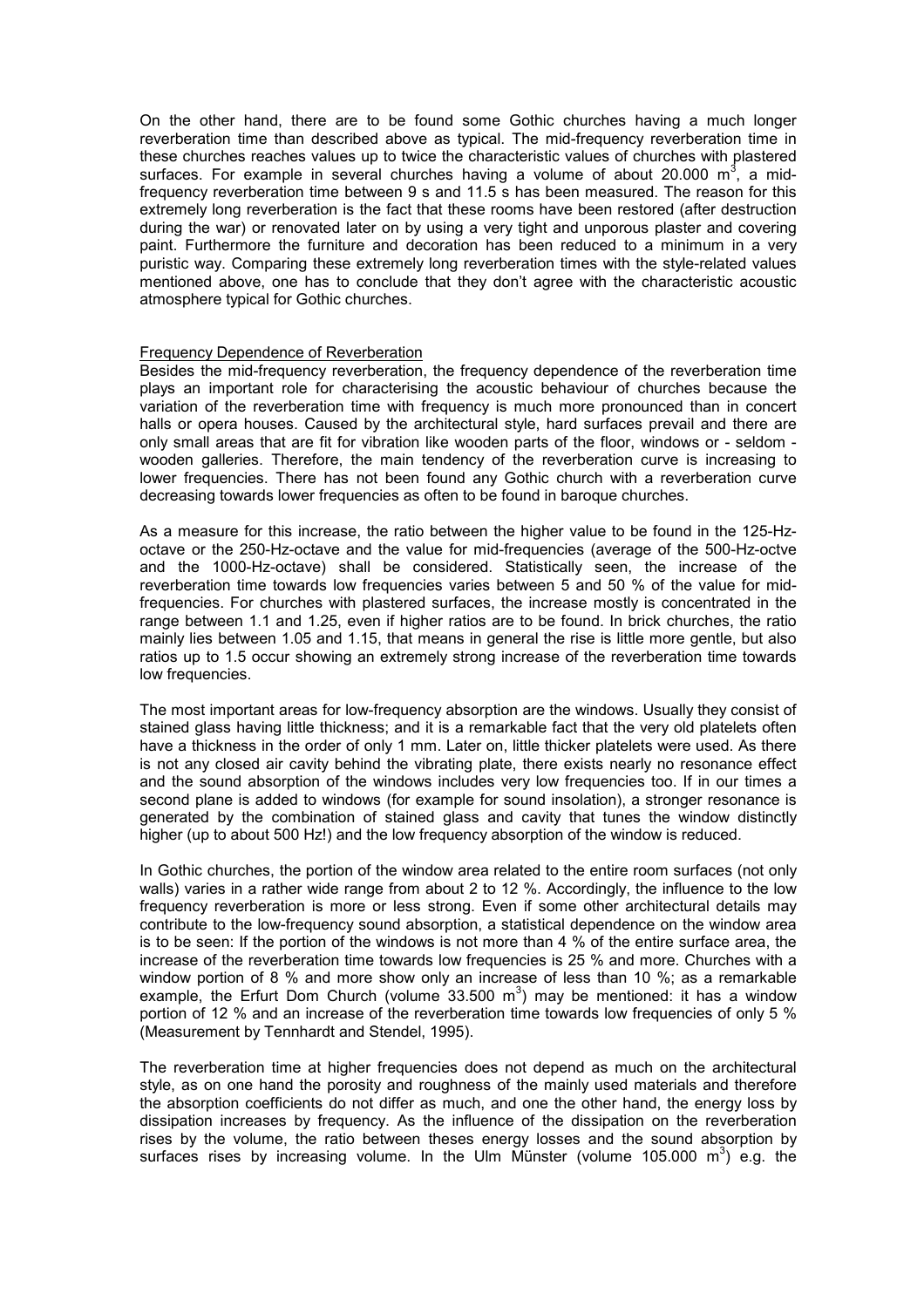On the other hand, there are to be found some Gothic churches having a much longer reverberation time than described above as typical. The mid-frequency reverberation time in these churches reaches values up to twice the characteristic values of churches with plastered surfaces. For example in several churches having a volume of about 20.000  $m^3$ , a midfrequency reverberation time between 9 s and 11.5 s has been measured. The reason for this extremely long reverberation is the fact that these rooms have been restored (after destruction during the war) or renovated later on by using a very tight and unporous plaster and covering paint. Furthermore the furniture and decoration has been reduced to a minimum in a very puristic way. Comparing these extremely long reverberation times with the style-related values mentioned above, one has to conclude that they don't agree with the characteristic acoustic atmosphere typical for Gothic churches.

#### Frequency Dependence of Reverberation

Besides the mid-frequency reverberation, the frequency dependence of the reverberation time plays an important role for characterising the acoustic behaviour of churches because the variation of the reverberation time with frequency is much more pronounced than in concert halls or opera houses. Caused by the architectural style, hard surfaces prevail and there are only small areas that are fit for vibration like wooden parts of the floor, windows or - seldom wooden galleries. Therefore, the main tendency of the reverberation curve is increasing to lower frequencies. There has not been found any Gothic church with a reverberation curve decreasing towards lower frequencies as often to be found in baroque churches.

As a measure for this increase, the ratio between the higher value to be found in the 125-Hzoctave or the 250-Hz-octave and the value for mid-frequencies (average of the 500-Hz-octve and the 1000-Hz-octave) shall be considered. Statistically seen, the increase of the reverberation time towards low frequencies varies between 5 and 50 % of the value for midfrequencies. For churches with plastered surfaces, the increase mostly is concentrated in the range between 1.1 and 1.25, even if higher ratios are to be found. In brick churches, the ratio mainly lies between 1.05 and 1.15, that means in general the rise is little more gentle, but also ratios up to 1.5 occur showing an extremely strong increase of the reverberation time towards low frequencies.

The most important areas for low-frequency absorption are the windows. Usually they consist of stained glass having little thickness; and it is a remarkable fact that the very old platelets often have a thickness in the order of only 1 mm. Later on, little thicker platelets were used. As there is not any closed air cavity behind the vibrating plate, there exists nearly no resonance effect and the sound absorption of the windows includes very low frequencies too. If in our times a second plane is added to windows (for example for sound insolation), a stronger resonance is generated by the combination of stained glass and cavity that tunes the window distinctly higher (up to about 500 Hz!) and the low frequency absorption of the window is reduced.

In Gothic churches, the portion of the window area related to the entire room surfaces (not only walls) varies in a rather wide range from about 2 to 12 %. Accordingly, the influence to the low frequency reverberation is more or less strong. Even if some other architectural details may contribute to the low-frequency sound absorption, a statistical dependence on the window area is to be seen: If the portion of the windows is not more than 4 % of the entire surface area, the increase of the reverberation time towards low frequencies is 25 % and more. Churches with a window portion of 8 % and more show only an increase of less than 10 %; as a remarkable example, the Erfurt Dom Church (volume 33.500 m<sup>3</sup>) may be mentioned: it has a window portion of 12 % and an increase of the reverberation time towards low frequencies of only 5 % (Measurement by Tennhardt and Stendel, 1995).

The reverberation time at higher frequencies does not depend as much on the architectural style, as on one hand the porosity and roughness of the mainly used materials and therefore the absorption coefficients do not differ as much, and one the other hand, the energy loss by dissipation increases by frequency. As the influence of the dissipation on the reverberation rises by the volume, the ratio between theses energy losses and the sound absorption by surfaces rises by increasing volume. In the Ulm Münster (volume 105.000  $m^3$ ) e.g. the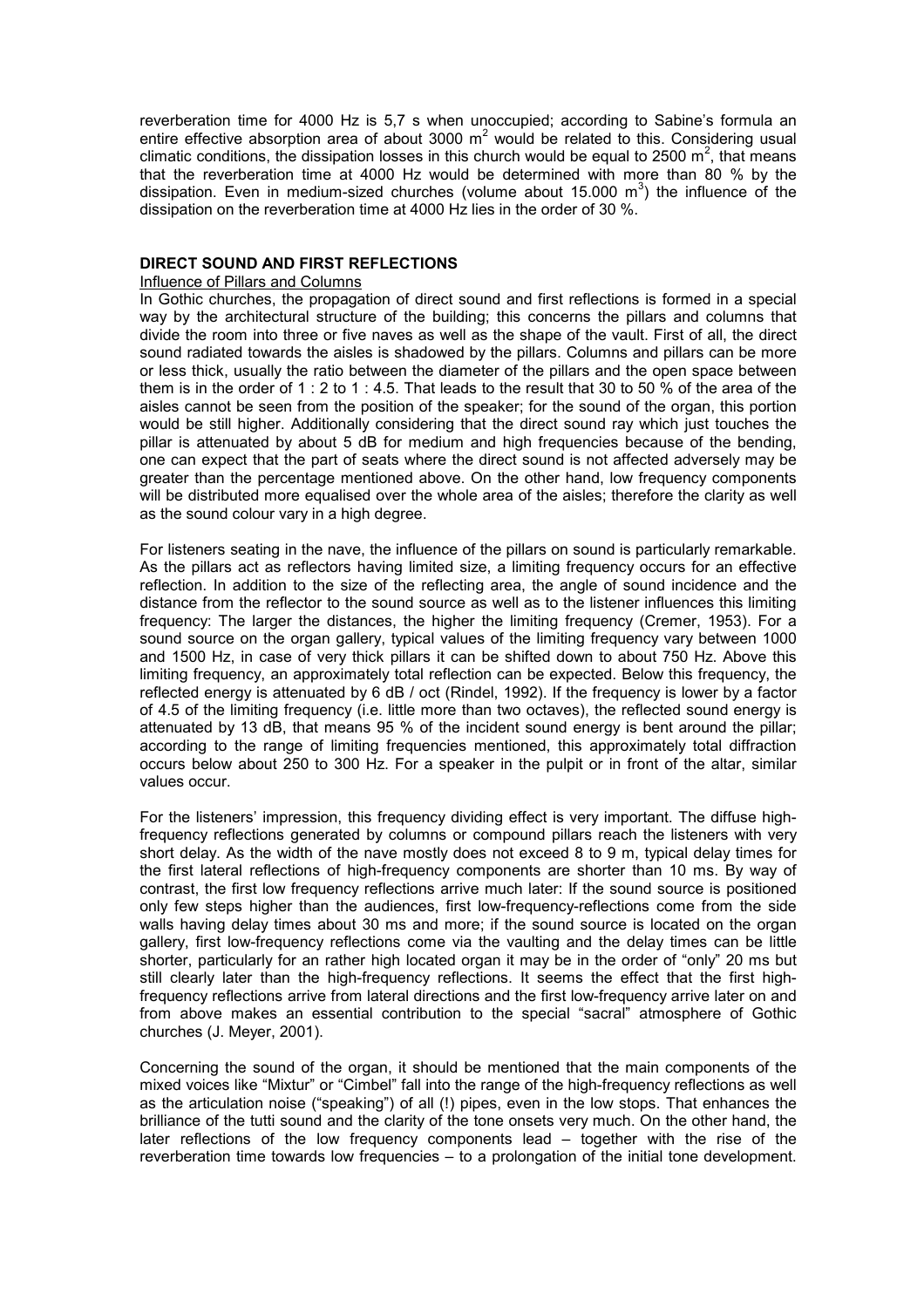reverberation time for 4000 Hz is 5,7 s when unoccupied; according to Sabine's formula an entire effective absorption area of about 3000  $m^2$  would be related to this. Considering usual climatic conditions, the dissipation losses in this church would be equal to 2500  $m^2$ , that means that the reverberation time at 4000 Hz would be determined with more than 80 % by the dissipation. Even in medium-sized churches (volume about 15.000 m<sup>3</sup>) the influence of the dissipation on the reverberation time at 4000 Hz lies in the order of 30 %.

# **DIRECT SOUND AND FIRST REFLECTIONS**

# Influence of Pillars and Columns

In Gothic churches, the propagation of direct sound and first reflections is formed in a special way by the architectural structure of the building; this concerns the pillars and columns that divide the room into three or five naves as well as the shape of the vault. First of all, the direct sound radiated towards the aisles is shadowed by the pillars. Columns and pillars can be more or less thick, usually the ratio between the diameter of the pillars and the open space between them is in the order of 1 : 2 to 1 : 4.5. That leads to the result that 30 to 50 % of the area of the aisles cannot be seen from the position of the speaker; for the sound of the organ, this portion would be still higher. Additionally considering that the direct sound ray which just touches the pillar is attenuated by about 5 dB for medium and high frequencies because of the bending, one can expect that the part of seats where the direct sound is not affected adversely may be greater than the percentage mentioned above. On the other hand, low frequency components will be distributed more equalised over the whole area of the aisles; therefore the clarity as well as the sound colour vary in a high degree.

For listeners seating in the nave, the influence of the pillars on sound is particularly remarkable. As the pillars act as reflectors having limited size, a limiting frequency occurs for an effective reflection. In addition to the size of the reflecting area, the angle of sound incidence and the distance from the reflector to the sound source as well as to the listener influences this limiting frequency: The larger the distances, the higher the limiting frequency (Cremer, 1953). For a sound source on the organ gallery, typical values of the limiting frequency vary between 1000 and 1500 Hz, in case of very thick pillars it can be shifted down to about 750 Hz. Above this limiting frequency, an approximately total reflection can be expected. Below this frequency, the reflected energy is attenuated by 6 dB / oct (Rindel, 1992). If the frequency is lower by a factor of 4.5 of the limiting frequency (i.e. little more than two octaves), the reflected sound energy is attenuated by 13 dB, that means 95 % of the incident sound energy is bent around the pillar; according to the range of limiting frequencies mentioned, this approximately total diffraction occurs below about 250 to 300 Hz. For a speaker in the pulpit or in front of the altar, similar values occur.

For the listeners' impression, this frequency dividing effect is very important. The diffuse highfrequency reflections generated by columns or compound pillars reach the listeners with very short delay. As the width of the nave mostly does not exceed 8 to 9 m, typical delay times for the first lateral reflections of high-frequency components are shorter than 10 ms. By way of contrast, the first low frequency reflections arrive much later: If the sound source is positioned only few steps higher than the audiences, first low-frequency-reflections come from the side walls having delay times about 30 ms and more; if the sound source is located on the organ gallery, first low-frequency reflections come via the vaulting and the delay times can be little shorter, particularly for an rather high located organ it may be in the order of "only" 20 ms but still clearly later than the high-frequency reflections. It seems the effect that the first highfrequency reflections arrive from lateral directions and the first low-frequency arrive later on and from above makes an essential contribution to the special "sacral" atmosphere of Gothic churches (J. Meyer, 2001).

Concerning the sound of the organ, it should be mentioned that the main components of the mixed voices like "Mixtur" or "Cimbel" fall into the range of the high-frequency reflections as well as the articulation noise ("speaking") of all (!) pipes, even in the low stops. That enhances the brilliance of the tutti sound and the clarity of the tone onsets very much. On the other hand, the later reflections of the low frequency components lead – together with the rise of the reverberation time towards low frequencies – to a prolongation of the initial tone development.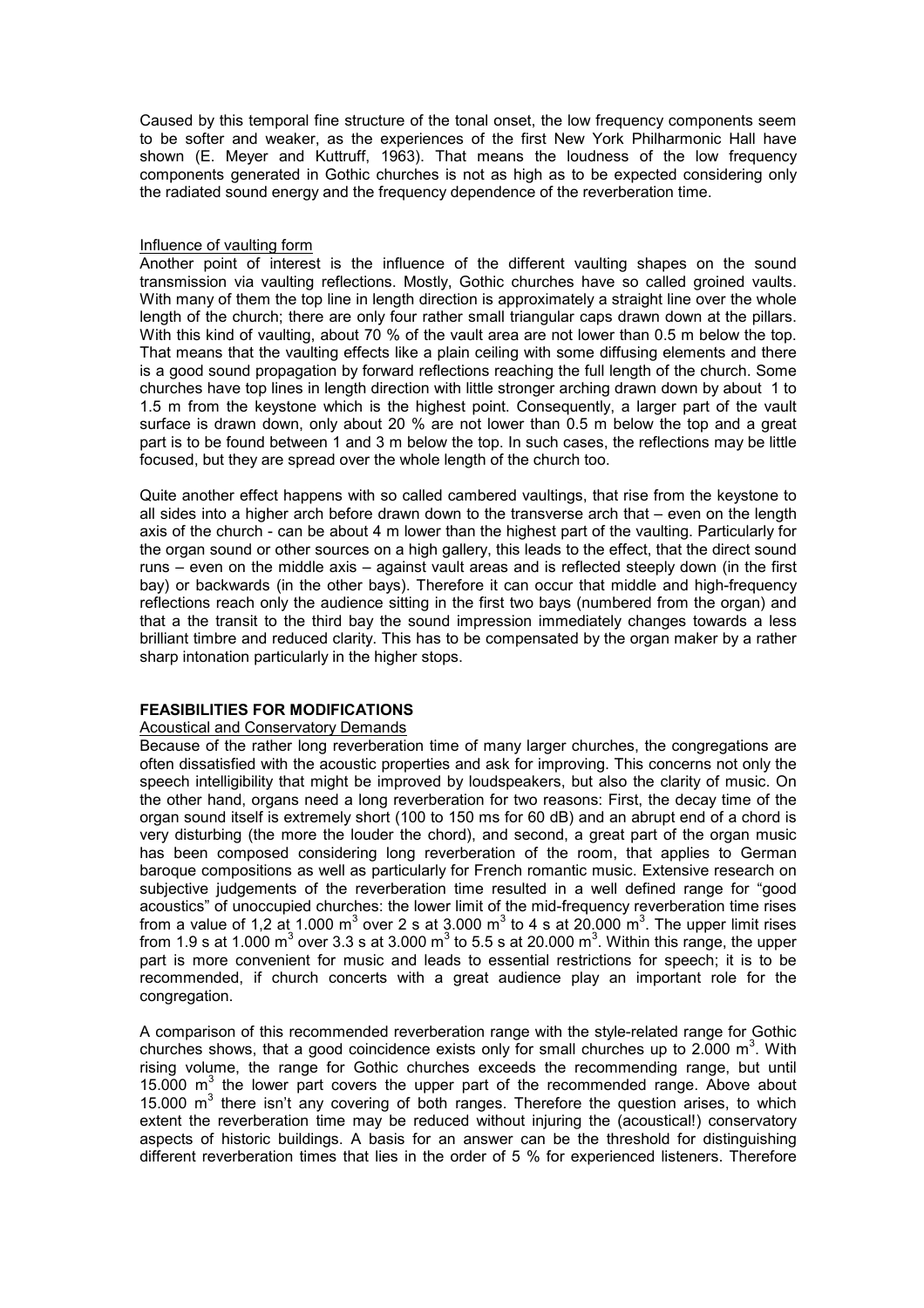Caused by this temporal fine structure of the tonal onset, the low frequency components seem to be softer and weaker, as the experiences of the first New York Philharmonic Hall have shown (E. Meyer and Kuttruff, 1963). That means the loudness of the low frequency components generated in Gothic churches is not as high as to be expected considering only the radiated sound energy and the frequency dependence of the reverberation time.

#### Influence of vaulting form

Another point of interest is the influence of the different vaulting shapes on the sound transmission via vaulting reflections. Mostly, Gothic churches have so called groined vaults. With many of them the top line in length direction is approximately a straight line over the whole length of the church; there are only four rather small triangular caps drawn down at the pillars. With this kind of vaulting, about 70 % of the vault area are not lower than 0.5 m below the top. That means that the vaulting effects like a plain ceiling with some diffusing elements and there is a good sound propagation by forward reflections reaching the full length of the church. Some churches have top lines in length direction with little stronger arching drawn down by about 1 to 1.5 m from the keystone which is the highest point. Consequently, a larger part of the vault surface is drawn down, only about 20 % are not lower than 0.5 m below the top and a great part is to be found between 1 and 3 m below the top. In such cases, the reflections may be little focused, but they are spread over the whole length of the church too.

Quite another effect happens with so called cambered vaultings, that rise from the keystone to all sides into a higher arch before drawn down to the transverse arch that – even on the length axis of the church - can be about 4 m lower than the highest part of the vaulting. Particularly for the organ sound or other sources on a high gallery, this leads to the effect, that the direct sound runs – even on the middle axis – against vault areas and is reflected steeply down (in the first bay) or backwards (in the other bays). Therefore it can occur that middle and high-frequency reflections reach only the audience sitting in the first two bays (numbered from the organ) and that a the transit to the third bay the sound impression immediately changes towards a less brilliant timbre and reduced clarity. This has to be compensated by the organ maker by a rather sharp intonation particularly in the higher stops.

# **FEASIBILITIES FOR MODIFICATIONS**

# Acoustical and Conservatory Demands

Because of the rather long reverberation time of many larger churches, the congregations are often dissatisfied with the acoustic properties and ask for improving. This concerns not only the speech intelligibility that might be improved by loudspeakers, but also the clarity of music. On the other hand, organs need a long reverberation for two reasons: First, the decay time of the organ sound itself is extremely short (100 to 150 ms for 60 dB) and an abrupt end of a chord is very disturbing (the more the louder the chord), and second, a great part of the organ music has been composed considering long reverberation of the room, that applies to German baroque compositions as well as particularly for French romantic music. Extensive research on subjective judgements of the reverberation time resulted in a well defined range for "good acoustics" of unoccupied churches: the lower limit of the mid-frequency reverberation time rises from a value of 1,2 at 1.000 m<sup>3</sup> over 2 s at 3.000 m<sup>3</sup> to 4 s at 20.000 m<sup>3</sup>. The upper limit rises from 1.9 s at 1.000 m<sup>3</sup> over 3.3 s at 3.000 m<sup>3</sup> to 5.5 s at 20.000 m<sup>3</sup>. Within this range, the upper part is more convenient for music and leads to essential restrictions for speech; it is to be recommended, if church concerts with a great audience play an important role for the congregation.

A comparison of this recommended reverberation range with the style-related range for Gothic churches shows, that a good coincidence exists only for small churches up to 2.000  $\text{m}^3$ . With rising volume, the range for Gothic churches exceeds the recommending range, but until 15.000  $m<sup>3</sup>$  the lower part covers the upper part of the recommended range. Above about 15.000  $m<sup>3</sup>$  there isn't any covering of both ranges. Therefore the question arises, to which extent the reverberation time may be reduced without injuring the (acoustical!) conservatory aspects of historic buildings. A basis for an answer can be the threshold for distinguishing different reverberation times that lies in the order of 5 % for experienced listeners. Therefore